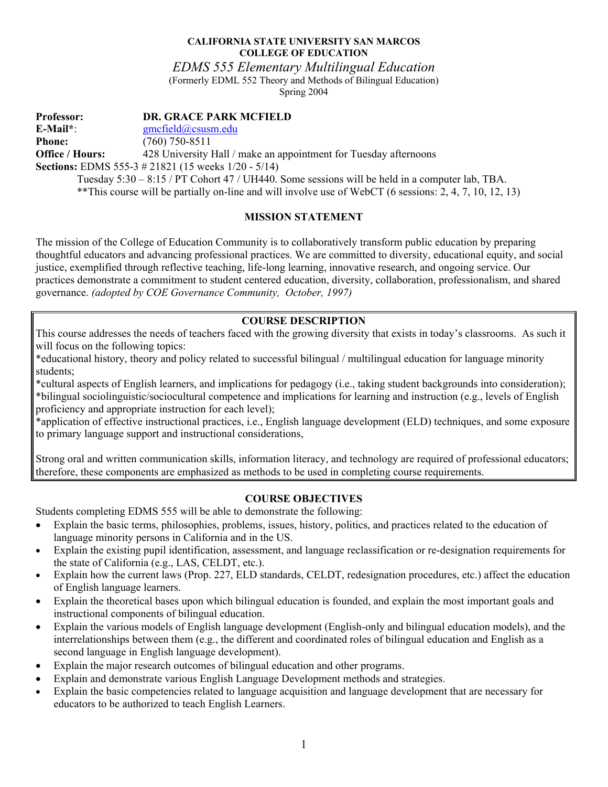### **CALIFORNIA STATE UNIVERSITY SAN MARCOS COLLEGE OF EDUCATION**

*EDMS 555 Elementary Multilingual Education* 

(Formerly EDML 552 Theory and Methods of Bilingual Education) Spring 2004

**Professor: DR. GRACE PARK MCFIELD E-Mail\***: gmcfield@csusm.edu **Phone:** (760) 750-8511 **Office / Hours:** 428 University Hall / make an appointment for Tuesday afternoons **Sections:** EDMS 555-3 # 21821 (15 weeks 1/20 - 5/14) Tuesday 5:30 – 8:15 / PT Cohort 47 / UH440. Some sessions will be held in a computer lab, TBA. \*\*This course will be partially on-line and will involve use of WebCT (6 sessions: 2, 4, 7, 10, 12, 13)

## **MISSION STATEMENT**

The mission of the College of Education Community is to collaboratively transform public education by preparing thoughtful educators and advancing professional practices. We are committed to diversity, educational equity, and social justice, exemplified through reflective teaching, life-long learning, innovative research, and ongoing service. Our practices demonstrate a commitment to student centered education, diversity, collaboration, professionalism, and shared governance. *(adopted by COE Governance Community, October, 1997)* 

# **COURSE DESCRIPTION**

This course addresses the needs of teachers faced with the growing diversity that exists in today's classrooms. As such it will focus on the following topics:

\*educational history, theory and policy related to successful bilingual / multilingual education for language minority students;

\*cultural aspects of English learners, and implications for pedagogy (i.e., taking student backgrounds into consideration); \*bilingual sociolinguistic/sociocultural competence and implications for learning and instruction (e.g., levels of English proficiency and appropriate instruction for each level);

\*application of effective instructional practices, i.e., English language development (ELD) techniques, and some exposure to primary language support and instructional considerations,

Strong oral and written communication skills, information literacy, and technology are required of professional educators; therefore, these components are emphasized as methods to be used in completing course requirements.

# **COURSE OBJECTIVES**

Students completing EDMS 555 will be able to demonstrate the following:

- Explain the basic terms, philosophies, problems, issues, history, politics, and practices related to the education of language minority persons in California and in the US.
- Explain the existing pupil identification, assessment, and language reclassification or re-designation requirements for the state of California (e.g., LAS, CELDT, etc.).
- Explain how the current laws (Prop. 227, ELD standards, CELDT, redesignation procedures, etc.) affect the education of English language learners.
- Explain the theoretical bases upon which bilingual education is founded, and explain the most important goals and instructional components of bilingual education.
- Explain the various models of English language development (English-only and bilingual education models), and the interrelationships between them (e.g., the different and coordinated roles of bilingual education and English as a second language in English language development).
- Explain the major research outcomes of bilingual education and other programs.
- Explain and demonstrate various English Language Development methods and strategies.
- Explain the basic competencies related to language acquisition and language development that are necessary for educators to be authorized to teach English Learners.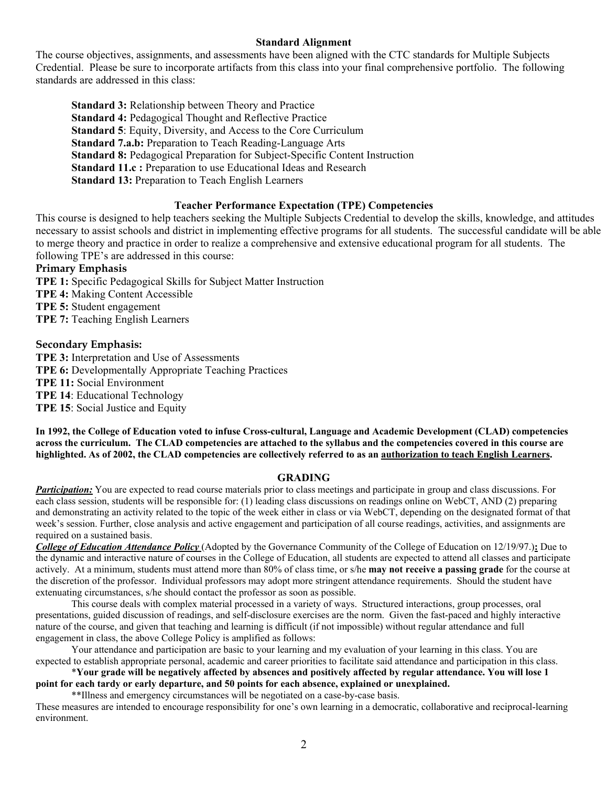## **Standard Alignment**

The course objectives, assignments, and assessments have been aligned with the CTC standards for Multiple Subjects Credential. Please be sure to incorporate artifacts from this class into your final comprehensive portfolio. The following standards are addressed in this class:

**Standard 3:** Relationship between Theory and Practice **Standard 4:** Pedagogical Thought and Reflective Practice **Standard 5**: Equity, Diversity, and Access to the Core Curriculum **Standard 7.a.b:** Preparation to Teach Reading-Language Arts **Standard 8:** Pedagogical Preparation for Subject-Specific Content Instruction **Standard 11.c :** Preparation to use Educational Ideas and Research **Standard 13:** Preparation to Teach English Learners

### **Teacher Performance Expectation (TPE) Competencies**

This course is designed to help teachers seeking the Multiple Subjects Credential to develop the skills, knowledge, and attitudes necessary to assist schools and district in implementing effective programs for all students. The successful candidate will be able to merge theory and practice in order to realize a comprehensive and extensive educational program for all students. The following TPE's are addressed in this course:

### **Primary Emphasis**

**TPE 1:** Specific Pedagogical Skills for Subject Matter Instruction **TPE 4:** Making Content Accessible **TPE 5:** Student engagement **TPE 7:** Teaching English Learners

## **Secondary Emphasis:**

**TPE 3:** Interpretation and Use of Assessments **TPE 6:** Developmentally Appropriate Teaching Practices **TPE 11:** Social Environment **TPE 14**: Educational Technology **TPE 15**: Social Justice and Equity

**In 1992, the College of Education voted to infuse Cross-cultural, Language and Academic Development (CLAD) competencies across the curriculum. The CLAD competencies are attached to the syllabus and the competencies covered in this course are highlighted. As of 2002, the CLAD competencies are collectively referred to as an authorization to teach English Learners.** 

### **GRADING**

*Participation:* You are expected to read course materials prior to class meetings and participate in group and class discussions. For each class session, students will be responsible for: (1) leading class discussions on readings online on WebCT, AND (2) preparing and demonstrating an activity related to the topic of the week either in class or via WebCT, depending on the designated format of that week's session. Further, close analysis and active engagement and participation of all course readings, activities, and assignments are required on a sustained basis.

*College of Education Attendance Policy* (Adopted by the Governance Community of the College of Education on 12/19/97.)**:** Due to the dynamic and interactive nature of courses in the College of Education, all students are expected to attend all classes and participate actively. At a minimum, students must attend more than 80% of class time, or s/he **may not receive a passing grade** for the course at the discretion of the professor. Individual professors may adopt more stringent attendance requirements. Should the student have extenuating circumstances, s/he should contact the professor as soon as possible.

 This course deals with complex material processed in a variety of ways. Structured interactions, group processes, oral presentations, guided discussion of readings, and self-disclosure exercises are the norm. Given the fast-paced and highly interactive nature of the course, and given that teaching and learning is difficult (if not impossible) without regular attendance and full engagement in class, the above College Policy is amplified as follows:

 Your attendance and participation are basic to your learning and my evaluation of your learning in this class. You are expected to establish appropriate personal, academic and career priorities to facilitate said attendance and participation in this class.

 \***Your grade will be negatively affected by absences and positively affected by regular attendance. You will lose 1 point for each tardy or early departure, and 50 points for each absence, explained or unexplained.**

\*\*Illness and emergency circumstances will be negotiated on a case-by-case basis.

These measures are intended to encourage responsibility for one's own learning in a democratic, collaborative and reciprocal-learning environment.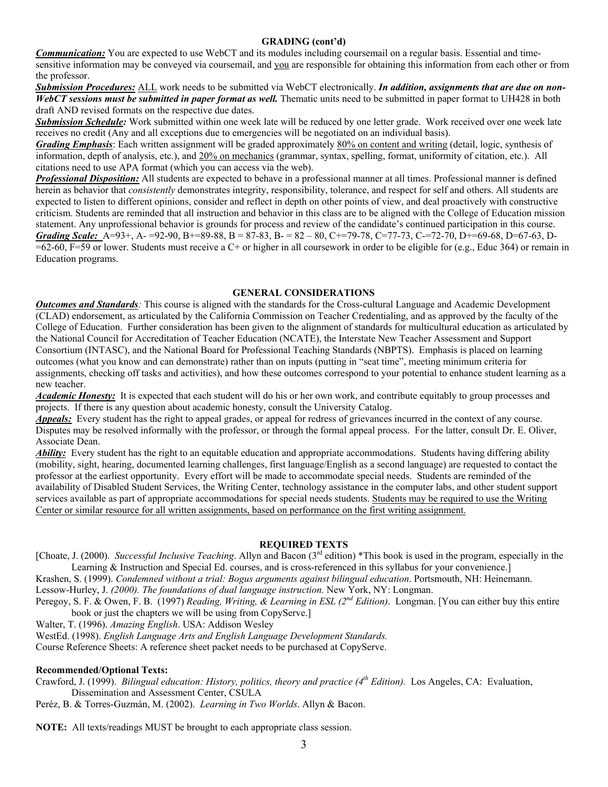#### **GRADING (cont'd)**

*Communication:* You are expected to use WebCT and its modules including coursemail on a regular basis. Essential and timesensitive information may be conveyed via coursemail, and you are responsible for obtaining this information from each other or from the professor.

*Submission Procedures:* ALL work needs to be submitted via WebCT electronically. *In addition, assignments that are due on non-WebCT sessions must be submitted in paper format as well.* Thematic units need to be submitted in paper format to UH428 in both draft AND revised formats on the respective due dates.

*Submission Schedule:* Work submitted within one week late will be reduced by one letter grade. Work received over one week late receives no credit (Any and all exceptions due to emergencies will be negotiated on an individual basis).

*Grading Emphasis*: Each written assignment will be graded approximately 80% on content and writing (detail, logic, synthesis of information, depth of analysis, etc.), and 20% on mechanics (grammar, syntax, spelling, format, uniformity of citation, etc.). All citations need to use APA format (which you can access via the web).

*Professional Disposition:* All students are expected to behave in a professional manner at all times. Professional manner is defined herein as behavior that *consistently* demonstrates integrity, responsibility, tolerance, and respect for self and others. All students are expected to listen to different opinions, consider and reflect in depth on other points of view, and deal proactively with constructive criticism. Students are reminded that all instruction and behavior in this class are to be aligned with the College of Education mission statement. Any unprofessional behavior is grounds for process and review of the candidate's continued participation in this course. *Grading Scale:* A=93+, A- =92-90, B+=89-88, B = 87-83, B- = 82 – 80, C+=79-78, C=77-73, C-=72-70, D+=69-68, D=67-63, D-  $=62-60$ , F=59 or lower. Students must receive a C+ or higher in all coursework in order to be eligible for (e.g., Educ 364) or remain in Education programs.

#### **GENERAL CONSIDERATIONS**

*Outcomes and Standards:* This course is aligned with the standards for the Cross-cultural Language and Academic Development (CLAD) endorsement, as articulated by the California Commission on Teacher Credentialing, and as approved by the faculty of the College of Education. Further consideration has been given to the alignment of standards for multicultural education as articulated by the National Council for Accreditation of Teacher Education (NCATE), the Interstate New Teacher Assessment and Support Consortium (INTASC), and the National Board for Professional Teaching Standards (NBPTS). Emphasis is placed on learning outcomes (what you know and can demonstrate) rather than on inputs (putting in "seat time", meeting minimum criteria for assignments, checking off tasks and activities), and how these outcomes correspond to your potential to enhance student learning as a new teacher.

*Academic Honesty:* It is expected that each student will do his or her own work, and contribute equitably to group processes and projects. If there is any question about academic honesty, consult the University Catalog.

*Appeals:* Every student has the right to appeal grades, or appeal for redress of grievances incurred in the context of any course. Disputes may be resolved informally with the professor, or through the formal appeal process. For the latter, consult Dr. E. Oliver, Associate Dean.

*Ability:* Every student has the right to an equitable education and appropriate accommodations. Students having differing ability (mobility, sight, hearing, documented learning challenges, first language/English as a second language) are requested to contact the professor at the earliest opportunity. Every effort will be made to accommodate special needs. Students are reminded of the availability of Disabled Student Services, the Writing Center, technology assistance in the computer labs, and other student support services available as part of appropriate accommodations for special needs students. Students may be required to use the Writing Center or similar resource for all written assignments, based on performance on the first writing assignment.

#### **REQUIRED TEXTS**

[Choate, J. (2000). *Successful Inclusive Teaching*. Allyn and Bacon (3rd edition) \*This book is used in the program, especially in the Learning & Instruction and Special Ed. courses, and is cross-referenced in this syllabus for your convenience.]

Krashen, S. (1999). *Condemned without a trial: Bogus arguments against bilingual education*. Portsmouth, NH: Heinemann. Lessow-Hurley, J. *(2000). The foundations of dual language instruction.* New York, NY: Longman.

Peregoy, S. F. & Owen, F. B. (1997) *Reading, Writing, & Learning in ESL (2nd Edition)*. Longman. [You can either buy this entire book or just the chapters we will be using from CopyServe.]

Walter, T. (1996). *Amazing English*. USA: Addison Wesley

WestEd. (1998). *English Language Arts and English Language Development Standards.* 

Course Reference Sheets: A reference sheet packet needs to be purchased at CopyServe.

#### **Recommended/Optional Texts:**

Crawford, J. (1999). *Bilingual education: History, politics, theory and practice (4th Edition).* Los Angeles, CA: Evaluation, Dissemination and Assessment Center, CSULA

Peréz, B. & Torres-Guzmán, M. (2002). *Learning in Two Worlds*. Allyn & Bacon.

**NOTE:** All texts/readings MUST be brought to each appropriate class session.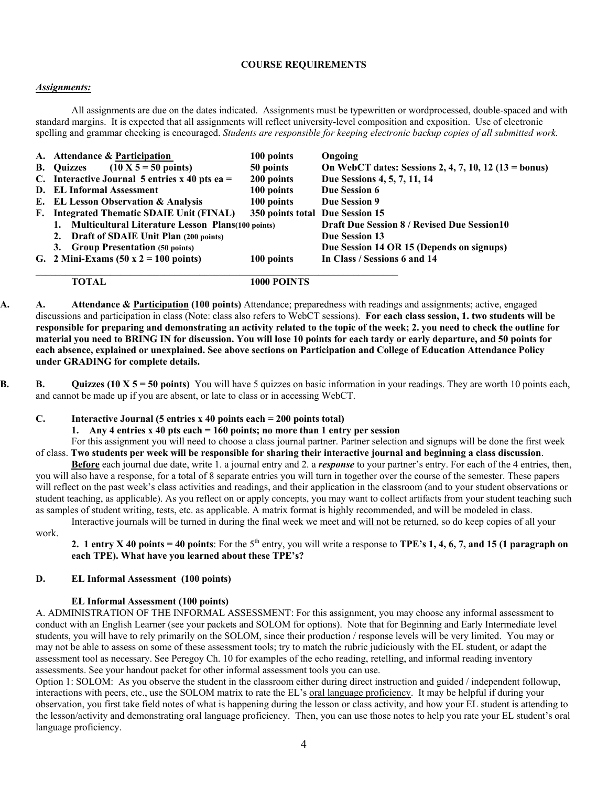#### **COURSE REQUIREMENTS**

### *Assignments:*

 All assignments are due on the dates indicated. Assignments must be typewritten or wordprocessed, double-spaced and with standard margins. It is expected that all assignments will reflect university-level composition and exposition. Use of electronic spelling and grammar checking is encouraged. *Students are responsible for keeping electronic backup copies of all submitted work.*

| A. Attendance & Participation                                | 100 points                      | Ongoing                                               |
|--------------------------------------------------------------|---------------------------------|-------------------------------------------------------|
| $(10 \text{ X } 5 = 50 \text{ points})$<br><b>B.</b> Ouizzes | 50 points                       | On WebCT dates: Sessions 2, 4, 7, 10, 12 (13 = bonus) |
| C. Interactive Journal 5 entries $x$ 40 pts ea =             | 200 points                      | Due Sessions 4, 5, 7, 11, 14                          |
| D. EL Informal Assessment                                    | 100 points                      | Due Session 6                                         |
| E. EL Lesson Observation & Analysis                          | 100 points                      | Due Session 9                                         |
| F. Integrated Thematic SDAIE Unit (FINAL)                    | 350 points total Due Session 15 |                                                       |
| 1. Multicultural Literature Lesson Plans(100 points)         |                                 | <b>Draft Due Session 8 / Revised Due Session 10</b>   |
| 2. Draft of SDAIE Unit Plan (200 points)                     |                                 | <b>Due Session 13</b>                                 |
| 3. Group Presentation (50 points)                            |                                 | Due Session 14 OR 15 (Depends on signups)             |
| G. 2 Mini-Exams $(50 \times 2 = 100 \text{ points})$         | 100 points                      | In Class / Sessions 6 and 14                          |
|                                                              |                                 |                                                       |

 **TOTAL 1000 POINTS** 

- **A. A. Attendance & Participation (100 points)** Attendance; preparedness with readings and assignments; active, engaged discussions and participation in class (Note: class also refers to WebCT sessions). **For each class session, 1. two students will be responsible for preparing and demonstrating an activity related to the topic of the week; 2. you need to check the outline for material you need to BRING IN for discussion. You will lose 10 points for each tardy or early departure, and 50 points for each absence, explained or unexplained. See above sections on Participation and College of Education Attendance Policy under GRADING for complete details.**
- **B. B.** Quizzes (10 X 5 = 50 points) You will have 5 quizzes on basic information in your readings. They are worth 10 points each, and cannot be made up if you are absent, or late to class or in accessing WebCT.

#### **C. Interactive Journal (5 entries x 40 points each = 200 points total)**

**1. Any 4 entries x 40 pts each = 160 points; no more than 1 entry per session** 

 For this assignment you will need to choose a class journal partner. Partner selection and signups will be done the first week of class. **Two students per week will be responsible for sharing their interactive journal and beginning a class discussion**.

**Before** each journal due date, write 1. a journal entry and 2. a *response* to your partner's entry. For each of the 4 entries, then, you will also have a response, for a total of 8 separate entries you will turn in together over the course of the semester. These papers will reflect on the past week's class activities and readings, and their application in the classroom (and to your student observations or student teaching, as applicable). As you reflect on or apply concepts, you may want to collect artifacts from your student teaching such as samples of student writing, tests, etc. as applicable. A matrix format is highly recommended, and will be modeled in class. Interactive journals will be turned in during the final week we meet and will not be returned, so do keep copies of all your

work.

**2. 1 entry X 40 points = 40 points**: For the  $5<sup>th</sup>$  entry, you will write a response to **TPE's 1, 4, 6, 7, and 15 (1 paragraph on each TPE). What have you learned about these TPE's?** 

#### **D. EL Informal Assessment (100 points)**

#### **EL Informal Assessment (100 points)**

A. ADMINISTRATION OF THE INFORMAL ASSESSMENT: For this assignment, you may choose any informal assessment to conduct with an English Learner (see your packets and SOLOM for options). Note that for Beginning and Early Intermediate level students, you will have to rely primarily on the SOLOM, since their production / response levels will be very limited. You may or may not be able to assess on some of these assessment tools; try to match the rubric judiciously with the EL student, or adapt the assessment tool as necessary. See Peregoy Ch. 10 for examples of the echo reading, retelling, and informal reading inventory assessments. See your handout packet for other informal assessment tools you can use.

Option 1: SOLOM: As you observe the student in the classroom either during direct instruction and guided / independent followup, interactions with peers, etc., use the SOLOM matrix to rate the EL's oral language proficiency. It may be helpful if during your observation, you first take field notes of what is happening during the lesson or class activity, and how your EL student is attending to the lesson/activity and demonstrating oral language proficiency. Then, you can use those notes to help you rate your EL student's oral language proficiency.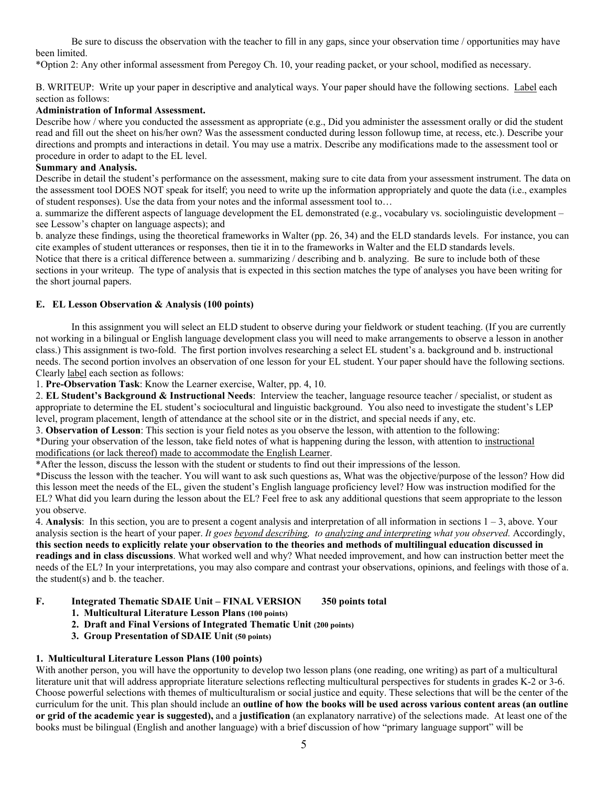Be sure to discuss the observation with the teacher to fill in any gaps, since your observation time / opportunities may have been limited.

\*Option 2: Any other informal assessment from Peregoy Ch. 10, your reading packet, or your school, modified as necessary.

B. WRITEUP: Write up your paper in descriptive and analytical ways. Your paper should have the following sections. Label each section as follows:

## **Administration of Informal Assessment.**

Describe how / where you conducted the assessment as appropriate (e.g., Did you administer the assessment orally or did the student read and fill out the sheet on his/her own? Was the assessment conducted during lesson followup time, at recess, etc.). Describe your directions and prompts and interactions in detail. You may use a matrix. Describe any modifications made to the assessment tool or procedure in order to adapt to the EL level.

#### **Summary and Analysis.**

Describe in detail the student's performance on the assessment, making sure to cite data from your assessment instrument. The data on the assessment tool DOES NOT speak for itself; you need to write up the information appropriately and quote the data (i.e., examples of student responses). Use the data from your notes and the informal assessment tool to…

a. summarize the different aspects of language development the EL demonstrated (e.g., vocabulary vs. sociolinguistic development – see Lessow's chapter on language aspects); and

b. analyze these findings, using the theoretical frameworks in Walter (pp. 26, 34) and the ELD standards levels. For instance, you can cite examples of student utterances or responses, then tie it in to the frameworks in Walter and the ELD standards levels.

Notice that there is a critical difference between a. summarizing / describing and b. analyzing. Be sure to include both of these sections in your writeup. The type of analysis that is expected in this section matches the type of analyses you have been writing for the short journal papers.

#### **E. EL Lesson Observation & Analysis (100 points)**

 In this assignment you will select an ELD student to observe during your fieldwork or student teaching. (If you are currently not working in a bilingual or English language development class you will need to make arrangements to observe a lesson in another class.) This assignment is two-fold. The first portion involves researching a select EL student's a. background and b. instructional needs. The second portion involves an observation of one lesson for your EL student. Your paper should have the following sections. Clearly label each section as follows:

1. **Pre-Observation Task**: Know the Learner exercise, Walter, pp. 4, 10.

2. **EL Student's Background & Instructional Needs**: Interview the teacher, language resource teacher / specialist, or student as appropriate to determine the EL student's sociocultural and linguistic background. You also need to investigate the student's LEP level, program placement, length of attendance at the school site or in the district, and special needs if any, etc.

3. **Observation of Lesson**: This section is your field notes as you observe the lesson, with attention to the following:

\*During your observation of the lesson, take field notes of what is happening during the lesson, with attention to instructional modifications (or lack thereof) made to accommodate the English Learner.

\*After the lesson, discuss the lesson with the student or students to find out their impressions of the lesson.

\*Discuss the lesson with the teacher. You will want to ask such questions as, What was the objective/purpose of the lesson? How did this lesson meet the needs of the EL, given the student's English language proficiency level? How was instruction modified for the EL? What did you learn during the lesson about the EL? Feel free to ask any additional questions that seem appropriate to the lesson you observe.

4. **Analysis**: In this section, you are to present a cogent analysis and interpretation of all information in sections  $1 - 3$ , above. Your analysis section is the heart of your paper. *It goes beyond describing, to analyzing and interpreting what you observed.* Accordingly, **this section needs to explicitly relate your observation to the theories and methods of multilingual education discussed in readings and in class discussions**. What worked well and why? What needed improvement, and how can instruction better meet the needs of the EL? In your interpretations, you may also compare and contrast your observations, opinions, and feelings with those of a. the student(s) and b. the teacher.

### **F. Integrated Thematic SDAIE Unit – FINAL VERSION 350 points total**

- **1. Multicultural Literature Lesson Plans (100 points)**
- **2. Draft and Final Versions of Integrated Thematic Unit (200 points)**
- **3. Group Presentation of SDAIE Unit (50 points)**

### **1. Multicultural Literature Lesson Plans (100 points)**

With another person, you will have the opportunity to develop two lesson plans (one reading, one writing) as part of a multicultural literature unit that will address appropriate literature selections reflecting multicultural perspectives for students in grades K-2 or 3-6. Choose powerful selections with themes of multiculturalism or social justice and equity. These selections that will be the center of the curriculum for the unit. This plan should include an **outline of how the books will be used across various content areas (an outline or grid of the academic year is suggested),** and a **justification** (an explanatory narrative) of the selections made. At least one of the books must be bilingual (English and another language) with a brief discussion of how "primary language support" will be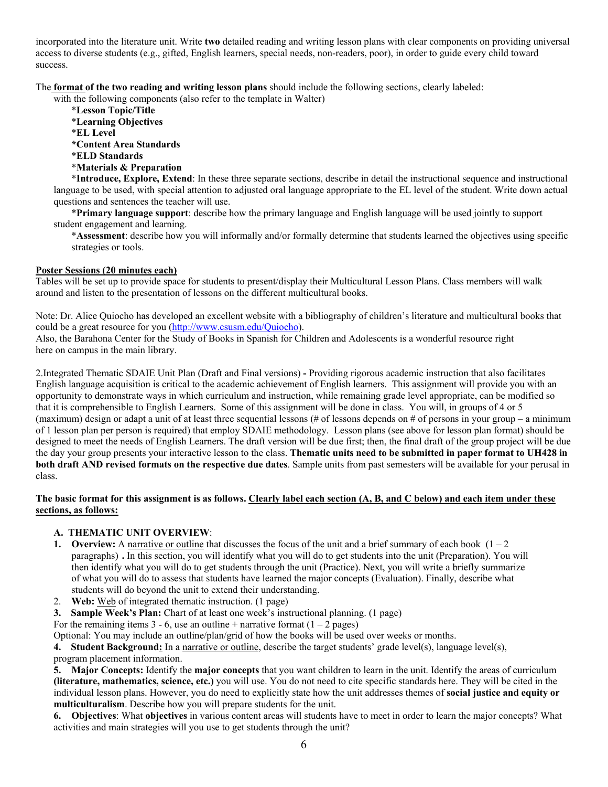incorporated into the literature unit. Write **two** detailed reading and writing lesson plans with clear components on providing universal access to diverse students (e.g., gifted, English learners, special needs, non-readers, poor), in order to guide every child toward success.

The **format of the two reading and writing lesson plans** should include the following sections, clearly labeled:

with the following components (also refer to the template in Walter)

- \***Lesson Topic/Title** \***Learning Objectives** \***EL Level \*Content Area Standards** \***ELD Standards**
- \***Materials & Preparation**

 \***Introduce, Explore, Extend**: In these three separate sections, describe in detail the instructional sequence and instructional language to be used, with special attention to adjusted oral language appropriate to the EL level of the student. Write down actual questions and sentences the teacher will use.

 \***Primary language support**: describe how the primary language and English language will be used jointly to support student engagement and learning.

 \***Assessment**: describe how you will informally and/or formally determine that students learned the objectives using specific strategies or tools.

### **Poster Sessions (20 minutes each)**

Tables will be set up to provide space for students to present/display their Multicultural Lesson Plans. Class members will walk around and listen to the presentation of lessons on the different multicultural books.

Note: Dr. Alice Quiocho has developed an excellent website with a bibliography of children's literature and multicultural books that could be a great resource for you (http://www.csusm.edu/Quiocho).

Also, the Barahona Center for the Study of Books in Spanish for Children and Adolescents is a wonderful resource right here on campus in the main library.

2.Integrated Thematic SDAIE Unit Plan (Draft and Final versions) **-** Providing rigorous academic instruction that also facilitates English language acquisition is critical to the academic achievement of English learners. This assignment will provide you with an opportunity to demonstrate ways in which curriculum and instruction, while remaining grade level appropriate, can be modified so that it is comprehensible to English Learners. Some of this assignment will be done in class. You will, in groups of 4 or 5 (maximum) design or adapt a unit of at least three sequential lessons (# of lessons depends on # of persons in your group – a minimum of 1 lesson plan per person is required) that employ SDAIE methodology. Lesson plans (see above for lesson plan format) should be designed to meet the needs of English Learners. The draft version will be due first; then, the final draft of the group project will be due the day your group presents your interactive lesson to the class. **Thematic units need to be submitted in paper format to UH428 in both draft AND revised formats on the respective due dates**. Sample units from past semesters will be available for your perusal in class.

### **The basic format for this assignment is as follows. Clearly label each section (A, B, and C below) and each item under these sections, as follows:**

## **A. THEMATIC UNIT OVERVIEW**:

- **1. Overview:** A narrative or outline that discusses the focus of the unit and a brief summary of each book  $(1 2)$ paragraphs) **.** In this section, you will identify what you will do to get students into the unit (Preparation). You will then identify what you will do to get students through the unit (Practice). Next, you will write a briefly summarize of what you will do to assess that students have learned the major concepts (Evaluation). Finally, describe what students will do beyond the unit to extend their understanding.
- 2. **Web:** Web of integrated thematic instruction. (1 page)
- **3. Sample Week's Plan:** Chart of at least one week's instructional planning. (1 page)

For the remaining items  $3 - 6$ , use an outline + narrative format  $(1 - 2$  pages)

Optional: You may include an outline/plan/grid of how the books will be used over weeks or months.

**4. Student Background:** In a narrative or outline, describe the target students' grade level(s), language level(s), program placement information.

**5. Major Concepts:** Identify the **major concepts** that you want children to learn in the unit. Identify the areas of curriculum **(literature, mathematics, science, etc.)** you will use. You do not need to cite specific standards here. They will be cited in the individual lesson plans. However, you do need to explicitly state how the unit addresses themes of **social justice and equity or multiculturalism**. Describe how you will prepare students for the unit.

**6. Objectives**: What **objectives** in various content areas will students have to meet in order to learn the major concepts? What activities and main strategies will you use to get students through the unit?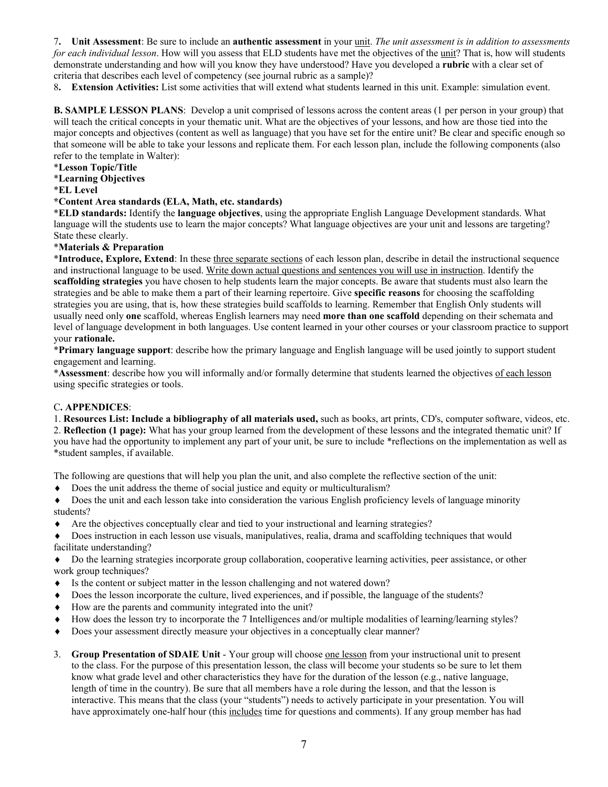7**. Unit Assessment**: Be sure to include an **authentic assessment** in your unit. *The unit assessment is in addition to assessments for each individual lesson*. How will you assess that ELD students have met the objectives of the unit? That is, how will students demonstrate understanding and how will you know they have understood? Have you developed a **rubric** with a clear set of criteria that describes each level of competency (see journal rubric as a sample)?

8**. Extension Activities:** List some activities that will extend what students learned in this unit. Example: simulation event.

**B. SAMPLE LESSON PLANS**: Develop a unit comprised of lessons across the content areas (1 per person in your group) that will teach the critical concepts in your thematic unit. What are the objectives of your lessons, and how are those tied into the major concepts and objectives (content as well as language) that you have set for the entire unit? Be clear and specific enough so that someone will be able to take your lessons and replicate them. For each lesson plan, include the following components (also refer to the template in Walter):

### \***Lesson Topic/Title**

\***Learning Objectives**

\***EL Level** 

### **\*Content Area standards (ELA, Math, etc. standards)**

\***ELD standards:** Identify the **language objectives**, using the appropriate English Language Development standards. What language will the students use to learn the major concepts? What language objectives are your unit and lessons are targeting? State these clearly.

\***Materials & Preparation**

\***Introduce, Explore, Extend**: In these three separate sections of each lesson plan, describe in detail the instructional sequence and instructional language to be used. Write down actual questions and sentences you will use in instruction. Identify the **scaffolding strategies** you have chosen to help students learn the major concepts. Be aware that students must also learn the strategies and be able to make them a part of their learning repertoire. Give **specific reasons** for choosing the scaffolding strategies you are using, that is, how these strategies build scaffolds to learning. Remember that English Only students will usually need only **one** scaffold, whereas English learners may need **more than one scaffold** depending on their schemata and level of language development in both languages. Use content learned in your other courses or your classroom practice to support your **rationale.** 

\***Primary language support**: describe how the primary language and English language will be used jointly to support student engagement and learning.

\***Assessment**: describe how you will informally and/or formally determine that students learned the objectives of each lesson using specific strategies or tools.

### C**. APPENDICES**:

1. **Resources List: Include a bibliography of all materials used,** such as books, art prints, CD's, computer software, videos, etc. 2. **Reflection (1 page):** What has your group learned from the development of these lessons and the integrated thematic unit? If you have had the opportunity to implement any part of your unit, be sure to include \*reflections on the implementation as well as \*student samples, if available.

The following are questions that will help you plan the unit, and also complete the reflective section of the unit:

- ♦ Does the unit address the theme of social justice and equity or multiculturalism?
- ♦ Does the unit and each lesson take into consideration the various English proficiency levels of language minority students?
- ♦ Are the objectives conceptually clear and tied to your instructional and learning strategies?

♦ Does instruction in each lesson use visuals, manipulatives, realia, drama and scaffolding techniques that would facilitate understanding?

♦ Do the learning strategies incorporate group collaboration, cooperative learning activities, peer assistance, or other work group techniques?

- ♦ Is the content or subject matter in the lesson challenging and not watered down?
- Does the lesson incorporate the culture, lived experiences, and if possible, the language of the students?
- ♦ How are the parents and community integrated into the unit?
- ♦ How does the lesson try to incorporate the 7 Intelligences and/or multiple modalities of learning/learning styles?
- ♦ Does your assessment directly measure your objectives in a conceptually clear manner?
- 3. **Group Presentation of SDAIE Unit** Your group will choose one lesson from your instructional unit to present to the class. For the purpose of this presentation lesson, the class will become your students so be sure to let them know what grade level and other characteristics they have for the duration of the lesson (e.g., native language, length of time in the country). Be sure that all members have a role during the lesson, and that the lesson is interactive. This means that the class (your "students") needs to actively participate in your presentation. You will have approximately one-half hour (this includes time for questions and comments). If any group member has had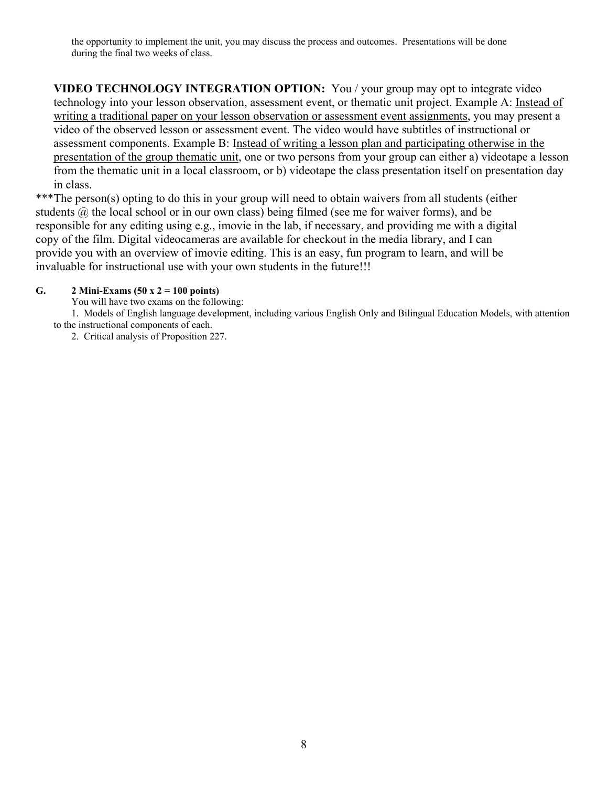the opportunity to implement the unit, you may discuss the process and outcomes. Presentations will be done during the final two weeks of class.

**VIDEO TECHNOLOGY INTEGRATION OPTION:** You / your group may opt to integrate video technology into your lesson observation, assessment event, or thematic unit project. Example A: Instead of writing a traditional paper on your lesson observation or assessment event assignments, you may present a video of the observed lesson or assessment event. The video would have subtitles of instructional or assessment components. Example B: Instead of writing a lesson plan and participating otherwise in the presentation of the group thematic unit, one or two persons from your group can either a) videotape a lesson from the thematic unit in a local classroom, or b) videotape the class presentation itself on presentation day in class.

\*\*\*The person(s) opting to do this in your group will need to obtain waivers from all students (either students  $\omega$ , the local school or in our own class) being filmed (see me for waiver forms), and be responsible for any editing using e.g., imovie in the lab, if necessary, and providing me with a digital copy of the film. Digital videocameras are available for checkout in the media library, and I can provide you with an overview of imovie editing. This is an easy, fun program to learn, and will be invaluable for instructional use with your own students in the future!!!

### **G. 2 Mini-Exams (50 x 2 = 100 points)**

You will have two exams on the following:

 1. Models of English language development, including various English Only and Bilingual Education Models, with attention to the instructional components of each.

2. Critical analysis of Proposition 227.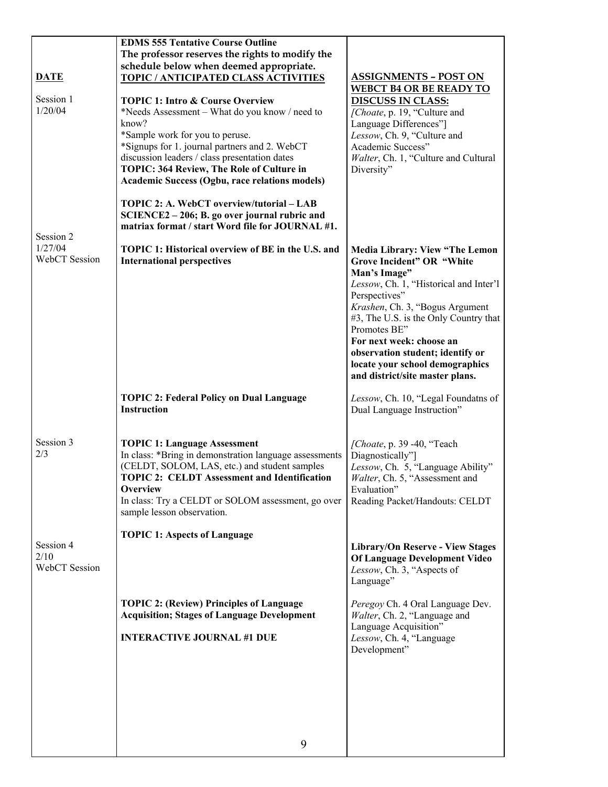|               | <b>EDMS 555 Tentative Course Outline</b>                  |                                                                          |
|---------------|-----------------------------------------------------------|--------------------------------------------------------------------------|
|               | The professor reserves the rights to modify the           |                                                                          |
|               | schedule below when deemed appropriate.                   |                                                                          |
| <b>DATE</b>   | <b>TOPIC / ANTICIPATED CLASS ACTIVITIES</b>               | <b>ASSIGNMENTS - POST ON</b>                                             |
|               |                                                           | <b>WEBCT B4 OR BE READY TO</b>                                           |
| Session 1     | <b>TOPIC 1: Intro &amp; Course Overview</b>               | <b>DISCUSS IN CLASS:</b>                                                 |
| 1/20/04       | *Needs Assessment – What do you know / need to            | [Choate, p. 19, "Culture and                                             |
|               | know?<br>*Sample work for you to peruse.                  | Language Differences"]                                                   |
|               | *Signups for 1. journal partners and 2. WebCT             | Lessow, Ch. 9, "Culture and<br>Academic Success"                         |
|               | discussion leaders / class presentation dates             | Walter, Ch. 1, "Culture and Cultural                                     |
|               | TOPIC: 364 Review, The Role of Culture in                 | Diversity"                                                               |
|               | <b>Academic Success (Ogbu, race relations models)</b>     |                                                                          |
|               |                                                           |                                                                          |
|               | TOPIC 2: A. WebCT overview/tutorial - LAB                 |                                                                          |
|               | SCIENCE2 - 206; B. go over journal rubric and             |                                                                          |
| Session 2     | matriax format / start Word file for JOURNAL #1.          |                                                                          |
| 1/27/04       | <b>TOPIC 1: Historical overview of BE in the U.S. and</b> | <b>Media Library: View "The Lemon</b>                                    |
| WebCT Session | <b>International perspectives</b>                         | Grove Incident" OR "White                                                |
|               |                                                           | Man's Image"                                                             |
|               |                                                           | Lessow, Ch. 1, "Historical and Inter'l                                   |
|               |                                                           | Perspectives"                                                            |
|               |                                                           | Krashen, Ch. 3, "Bogus Argument                                          |
|               |                                                           | #3, The U.S. is the Only Country that                                    |
|               |                                                           | Promotes BE"<br>For next week: choose an                                 |
|               |                                                           | observation student; identify or                                         |
|               |                                                           | locate your school demographics                                          |
|               |                                                           | and district/site master plans.                                          |
|               |                                                           |                                                                          |
|               | <b>TOPIC 2: Federal Policy on Dual Language</b>           | Lessow, Ch. 10, "Legal Foundatns of                                      |
|               | <b>Instruction</b>                                        | Dual Language Instruction"                                               |
|               |                                                           |                                                                          |
| Session 3     | <b>TOPIC 1: Language Assessment</b>                       | [Choate, p. 39 -40, "Teach                                               |
| 2/3           | In class: *Bring in demonstration language assessments    | Diagnostically"]                                                         |
|               | (CELDT, SOLOM, LAS, etc.) and student samples             | Lessow, Ch. 5, "Language Ability"                                        |
|               | <b>TOPIC 2: CELDT Assessment and Identification</b>       | Walter, Ch. 5, "Assessment and                                           |
|               | <b>Overview</b>                                           | Evaluation"                                                              |
|               | In class: Try a CELDT or SOLOM assessment, go over        | Reading Packet/Handouts: CELDT                                           |
|               | sample lesson observation.                                |                                                                          |
|               |                                                           |                                                                          |
|               |                                                           |                                                                          |
| Session 4     | <b>TOPIC 1: Aspects of Language</b>                       |                                                                          |
| 2/10          |                                                           | <b>Library/On Reserve - View Stages</b><br>Of Language Development Video |
| WebCT Session |                                                           | Lessow, Ch. 3, "Aspects of                                               |
|               |                                                           | Language"                                                                |
|               |                                                           |                                                                          |
|               | <b>TOPIC 2: (Review) Principles of Language</b>           | Peregoy Ch. 4 Oral Language Dev.                                         |
|               | <b>Acquisition; Stages of Language Development</b>        | Walter, Ch. 2, "Language and                                             |
|               | <b>INTERACTIVE JOURNAL #1 DUE</b>                         | Language Acquisition"                                                    |
|               |                                                           | Lessow, Ch. 4, "Language<br>Development"                                 |
|               |                                                           |                                                                          |
|               |                                                           |                                                                          |
|               |                                                           |                                                                          |
|               |                                                           |                                                                          |
|               |                                                           |                                                                          |
|               |                                                           |                                                                          |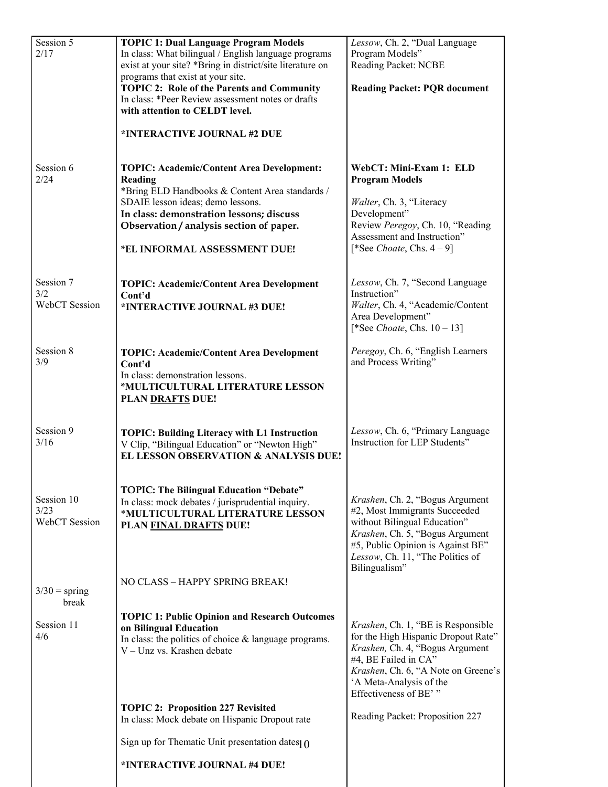| Session 5<br>2/17                        | <b>TOPIC 1: Dual Language Program Models</b><br>In class: What bilingual / English language programs<br>exist at your site? *Bring in district/site literature on<br>programs that exist at your site.                                      | Lessow, Ch. 2, "Dual Language<br>Program Models"<br>Reading Packet: NCBE                                                                                                                                                        |
|------------------------------------------|---------------------------------------------------------------------------------------------------------------------------------------------------------------------------------------------------------------------------------------------|---------------------------------------------------------------------------------------------------------------------------------------------------------------------------------------------------------------------------------|
|                                          | <b>TOPIC 2: Role of the Parents and Community</b><br>In class: *Peer Review assessment notes or drafts<br>with attention to CELDT level.                                                                                                    | <b>Reading Packet: PQR document</b>                                                                                                                                                                                             |
|                                          | *INTERACTIVE JOURNAL #2 DUE                                                                                                                                                                                                                 |                                                                                                                                                                                                                                 |
| Session 6<br>2/24                        | <b>TOPIC: Academic/Content Area Development:</b><br>Reading<br>*Bring ELD Handbooks & Content Area standards /<br>SDAIE lesson ideas; demo lessons.<br>In class: demonstration lessons; discuss<br>Observation / analysis section of paper. | WebCT: Mini-Exam 1: ELD<br><b>Program Models</b><br>Walter, Ch. 3, "Literacy<br>Development"<br>Review Peregoy, Ch. 10, "Reading                                                                                                |
|                                          | *EL INFORMAL ASSESSMENT DUE!                                                                                                                                                                                                                | Assessment and Instruction"<br>[*See Choate, Chs. $4-9$ ]                                                                                                                                                                       |
| Session 7<br>3/2<br><b>WebCT</b> Session | <b>TOPIC: Academic/Content Area Development</b><br>Cont'd<br>*INTERACTIVE JOURNAL #3 DUE!                                                                                                                                                   | Lessow, Ch. 7, "Second Language<br>Instruction"<br>Walter, Ch. 4, "Academic/Content                                                                                                                                             |
|                                          |                                                                                                                                                                                                                                             | Area Development"<br>[*See <i>Choate</i> , Chs. $10 - 13$ ]                                                                                                                                                                     |
| Session 8<br>3/9                         | <b>TOPIC: Academic/Content Area Development</b><br>Cont'd<br>In class: demonstration lessons.<br>*MULTICULTURAL LITERATURE LESSON<br><b>PLAN DRAFTS DUE!</b>                                                                                | Peregoy, Ch. 6, "English Learners<br>and Process Writing"                                                                                                                                                                       |
| Session 9<br>3/16                        | <b>TOPIC: Building Literacy with L1 Instruction</b><br>V Clip, "Bilingual Education" or "Newton High"<br><b>EL LESSON OBSERVATION &amp; ANALYSIS DUE!</b>                                                                                   | Lessow, Ch. 6, "Primary Language<br>Instruction for LEP Students"                                                                                                                                                               |
| Session 10<br>3/23<br>WebCT Session      | <b>TOPIC: The Bilingual Education "Debate"</b><br>In class: mock debates / jurisprudential inquiry.<br>*MULTICULTURAL LITERATURE LESSON<br>PLAN FINAL DRAFTS DUE!                                                                           | Krashen, Ch. 2, "Bogus Argument<br>#2, Most Immigrants Succeeded<br>without Bilingual Education"<br>Krashen, Ch. 5, "Bogus Argument<br>#5, Public Opinion is Against BE"<br>Lessow, Ch. 11, "The Politics of<br>Bilingualism"   |
| $3/30 =$ spring<br>break                 | NO CLASS - HAPPY SPRING BREAK!                                                                                                                                                                                                              |                                                                                                                                                                                                                                 |
| Session 11<br>4/6                        | <b>TOPIC 1: Public Opinion and Research Outcomes</b><br>on Bilingual Education<br>In class: the politics of choice $\&$ language programs.<br>V - Unz vs. Krashen debate                                                                    | Krashen, Ch. 1, "BE is Responsible<br>for the High Hispanic Dropout Rate"<br>Krashen, Ch. 4, "Bogus Argument<br>#4, BE Failed in CA"<br>Krashen, Ch. 6, "A Note on Greene's<br>'A Meta-Analysis of the<br>Effectiveness of BE'" |
|                                          | <b>TOPIC 2: Proposition 227 Revisited</b><br>In class: Mock debate on Hispanic Dropout rate                                                                                                                                                 | Reading Packet: Proposition 227                                                                                                                                                                                                 |
|                                          | Sign up for Thematic Unit presentation dates $\theta$                                                                                                                                                                                       |                                                                                                                                                                                                                                 |
|                                          | *INTERACTIVE JOURNAL #4 DUE!                                                                                                                                                                                                                |                                                                                                                                                                                                                                 |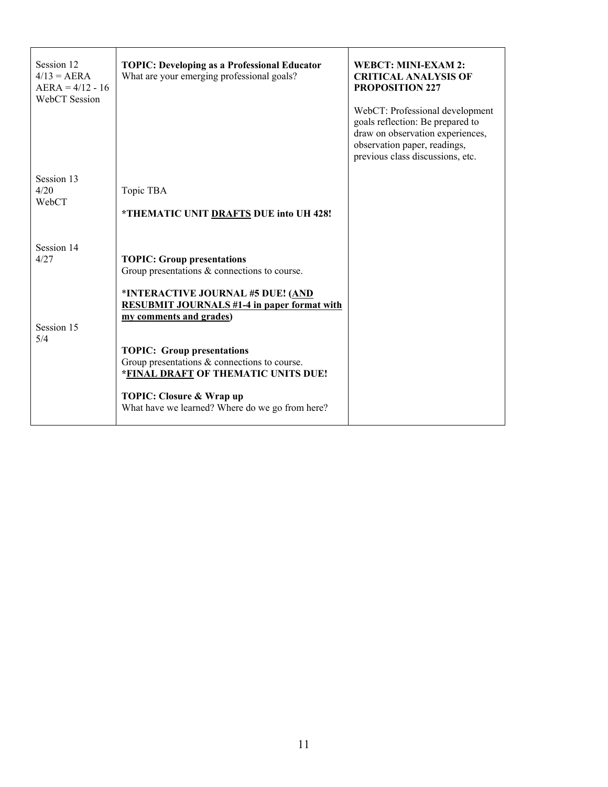| Session 12<br>$4/13 = AERA$<br>$AERA = 4/12 - 16$<br>WebCT Session | <b>TOPIC: Developing as a Professional Educator</b><br>What are your emerging professional goals?                                                                                                                                                                                                                                | <b>WEBCT: MINI-EXAM 2:</b><br><b>CRITICAL ANALYSIS OF</b><br><b>PROPOSITION 227</b><br>WebCT: Professional development<br>goals reflection: Be prepared to<br>draw on observation experiences,<br>observation paper, readings,<br>previous class discussions, etc. |
|--------------------------------------------------------------------|----------------------------------------------------------------------------------------------------------------------------------------------------------------------------------------------------------------------------------------------------------------------------------------------------------------------------------|--------------------------------------------------------------------------------------------------------------------------------------------------------------------------------------------------------------------------------------------------------------------|
| Session 13<br>4/20<br>WebCT                                        | Topic TBA<br>*THEMATIC UNIT DRAFTS DUE into UH 428!                                                                                                                                                                                                                                                                              |                                                                                                                                                                                                                                                                    |
| Session 14<br>4/27                                                 | <b>TOPIC: Group presentations</b><br>Group presentations $\&$ connections to course.                                                                                                                                                                                                                                             |                                                                                                                                                                                                                                                                    |
| Session 15<br>5/4                                                  | *INTERACTIVE JOURNAL #5 DUE! (AND<br><b>RESUBMIT JOURNALS #1-4 in paper format with</b><br>my comments and grades)<br><b>TOPIC: Group presentations</b><br>Group presentations $\&$ connections to course.<br>*FINAL DRAFT OF THEMATIC UNITS DUE!<br>TOPIC: Closure & Wrap up<br>What have we learned? Where do we go from here? |                                                                                                                                                                                                                                                                    |